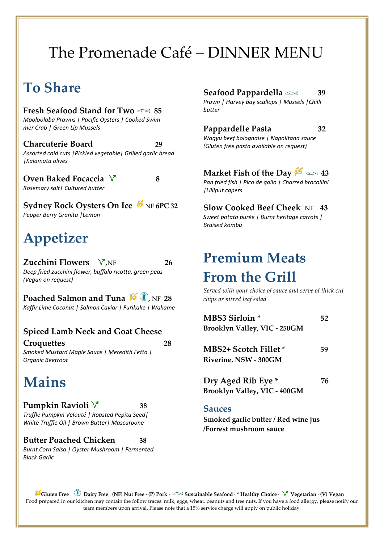# The Promenade Café – DINNER MENU

### **To Share**

**Fresh Seafood Stand for Two 85** *Mooloolaba Prawns | Pacific Oysters | Cooked Swim mer Crab | Green Lip Mussels*

**Charcuterie Board 29** *Assorted cold cuts |Pickled vegetable| Grilled garlic bread |Kalamata olives*

**Oven Baked Focaccia 8** *Rosemary salt| Cultured butter*

**Sydney Rock Oysters On Ice**  $\cancel{\mathscr{B}}$  NF 6PC 32 *Pepper Berry Granita |Lemon*

# **Appetizer**

**Zucchini Flowers**  $\sqrt{\ }$ ,NF 26 *Deep fried zucchini flower, buffalo ricotta, green peas (Vegan on request)* 

**Poached Salmon and Tuna**  $\mathscr{L}$ **, NF 28** *Kaffir Lime Coconut | Salmon Caviar | Furikake | Wakame*

#### **Spiced Lamb Neck and Goat Cheese Croquettes 28**

*Smoked Mustard Maple Sauce | Meredith Fetta | Organic Beetroot*

### **Mains**

#### **Pumpkin Ravioli 38**

*Truffle Pumpkin Velouté | Roasted Pepita Seed| White Truffle Oil | Brown Butter| Mascarpone*

#### **Butter Poached Chicken 38**

*Burnt Corn Salsa | Oyster Mushroom | Fermented Black Garlic*

#### **Seafood Pappardella 39**

*Prawn | Harvey bay scallops | Mussels |Chilli butter*

#### **Pappardelle Pasta 32**

*Wagyu beef bolognaise | Napolitana sauce (Gluten free pasta available on request)*

#### **Market Fish of the Day 43**

*Pan fried fish | Pico de gallo | Charred brocollini |Lilliput capers*

### **Slow Cooked Beef Cheek** NF **43**

*Sweet potato purée | Burnt heritage carrots | Braised kombu* 

# **Premium Meats From the Grill**

*Served with your choice of sauce and serve of thick cut chips or mixed leaf salad*

| MBS3 Sirloin *                                            | 52 |
|-----------------------------------------------------------|----|
| Brooklyn Valley, VIC - 250GM                              |    |
| <b>MBS2+ Scotch Fillet *</b><br>Riverine, NSW - 300GM     | 59 |
| Dry Aged Rib Eye *<br><b>Brooklyn Valley, VIC - 400GM</b> | 76 |

#### **Sauces**

**Smoked garlic butter / Red wine jus /Forrest mushroom sauce** 

**Gluten Free Dairy Free (NF) Nut Free · (P) Pork · Sustainable Seafood · \* Healthy Choice · Vegetarian · (V) Vegan** Food prepared in our kitchen may contain the follow traces: milk, eggs, wheat, peanuts and tree nuts. If you have a food allergy, please notify our team members upon arrival. Please note that a 15% service charge will apply on public holiday.